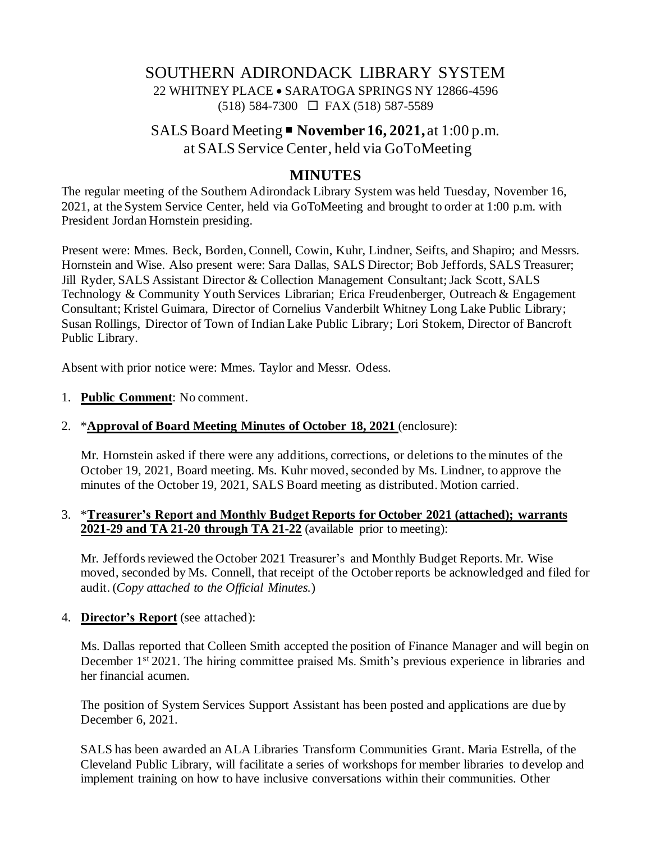# SOUTHERN ADIRONDACK LIBRARY SYSTEM 22 WHITNEY PLACE • SARATOGA SPRINGS NY 12866-4596 (518) 584-7300 FAX (518) 587-5589

## SALS Board Meeting **November 16, 2021,** at 1:00 p.m. at SALS Service Center, held via GoToMeeting

## **MINUTES**

The regular meeting of the Southern Adirondack Library System was held Tuesday, November 16, 2021, at the System Service Center, held via GoToMeeting and brought to order at 1:00 p.m. with President Jordan Hornstein presiding.

Present were: Mmes. Beck, Borden, Connell, Cowin, Kuhr, Lindner, Seifts, and Shapiro; and Messrs. Hornstein and Wise. Also present were: Sara Dallas, SALS Director; Bob Jeffords, SALS Treasurer; Jill Ryder, SALS Assistant Director & Collection Management Consultant;Jack Scott, SALS Technology & Community Youth Services Librarian; Erica Freudenberger, Outreach & Engagement Consultant; Kristel Guimara, Director of Cornelius Vanderbilt Whitney Long Lake Public Library; Susan Rollings, Director of Town of Indian Lake Public Library; Lori Stokem, Director of Bancroft Public Library.

Absent with prior notice were: Mmes. Taylor and Messr. Odess.

- 1. **Public Comment**: No comment.
- 2. \***Approval of Board Meeting Minutes of October 18, 2021** (enclosure):

Mr. Hornstein asked if there were any additions, corrections, or deletions to the minutes of the October 19, 2021, Board meeting. Ms. Kuhr moved, seconded by Ms. Lindner, to approve the minutes of the October 19, 2021, SALS Board meeting as distributed. Motion carried.

#### 3. \***Treasurer's Report and Monthly Budget Reports for October 2021 (attached); warrants 2021-29 and TA 21-20 through TA 21-22** (available prior to meeting):

Mr. Jeffords reviewed the October 2021 Treasurer's and Monthly Budget Reports. Mr. Wise moved, seconded by Ms. Connell, that receipt of the October reports be acknowledged and filed for audit. (*Copy attached to the Official Minutes.*)

#### 4. **Director's Report** (see attached):

Ms. Dallas reported that Colleen Smith accepted the position of Finance Manager and will begin on December 1<sup>st</sup> 2021. The hiring committee praised Ms. Smith's previous experience in libraries and her financial acumen.

The position of System Services Support Assistant has been posted and applications are due by December 6, 2021.

SALS has been awarded an ALA Libraries Transform Communities Grant. Maria Estrella, of the Cleveland Public Library, will facilitate a series of workshops for member libraries to develop and implement training on how to have inclusive conversations within their communities. Other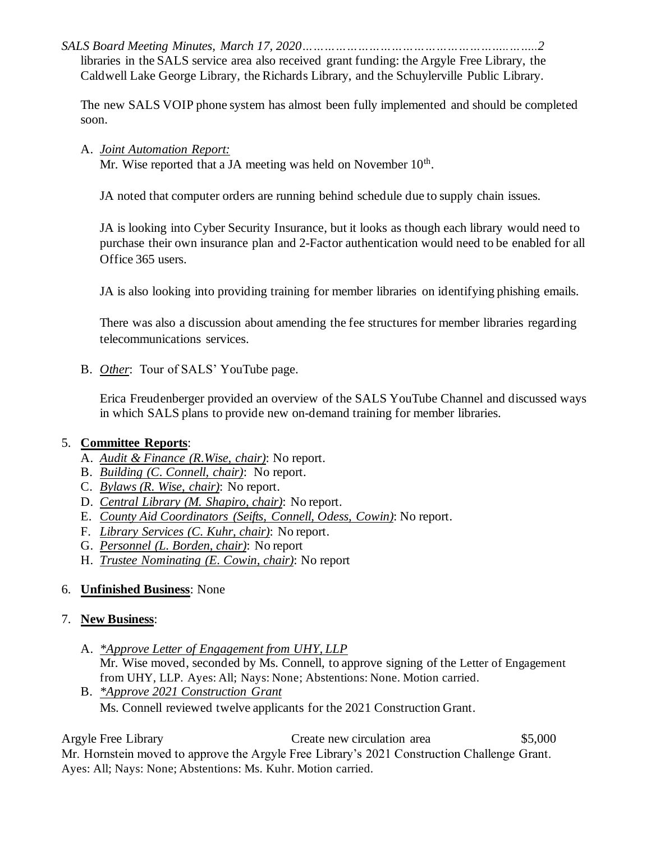*SALS Board Meeting Minutes, March 17, 2020………………………………………………..……..2* libraries in the SALS service area also received grant funding: the Argyle Free Library, the Caldwell Lake George Library, the Richards Library, and the Schuylerville Public Library.

The new SALS VOIP phone system has almost been fully implemented and should be completed soon.

A. *Joint Automation Report:*

Mr. Wise reported that a JA meeting was held on November 10<sup>th</sup>.

JA noted that computer orders are running behind schedule due to supply chain issues.

JA is looking into Cyber Security Insurance, but it looks as though each library would need to purchase their own insurance plan and 2-Factor authentication would need to be enabled for all Office 365 users.

JA is also looking into providing training for member libraries on identifying phishing emails.

There was also a discussion about amending the fee structures for member libraries regarding telecommunications services.

B. *Other*: Tour of SALS' YouTube page.

Erica Freudenberger provided an overview of the SALS YouTube Channel and discussed ways in which SALS plans to provide new on-demand training for member libraries.

### 5. **Committee Reports**:

- A. *Audit & Finance (R.Wise, chair)*: No report.
- B. *Building (C. Connell, chair)*: No report.
- C. *Bylaws (R. Wise, chair)*: No report.
- D. *Central Library (M. Shapiro, chair)*: No report.
- E. *County Aid Coordinators (Seifts, Connell, Odess, Cowin)*: No report.
- F. *Library Services (C. Kuhr, chair)*: No report.
- G. *Personnel (L. Borden, chair)*: No report
- H. *Trustee Nominating (E. Cowin, chair)*: No report

### 6. **Unfinished Business**: None

### 7. **New Business**:

- A. *\*Approve Letter of Engagement from UHY, LLP* Mr. Wise moved, seconded by Ms. Connell, to approve signing of the Letter of Engagement from UHY, LLP. Ayes: All; Nays: None; Abstentions: None. Motion carried.
- B. *\*Approve 2021 Construction Grant* Ms. Connell reviewed twelve applicants for the 2021 Construction Grant.

Argyle Free Library Create new circulation area  $$5,000$ 

Mr. Hornstein moved to approve the Argyle Free Library's 2021 Construction Challenge Grant. Ayes: All; Nays: None; Abstentions: Ms. Kuhr. Motion carried.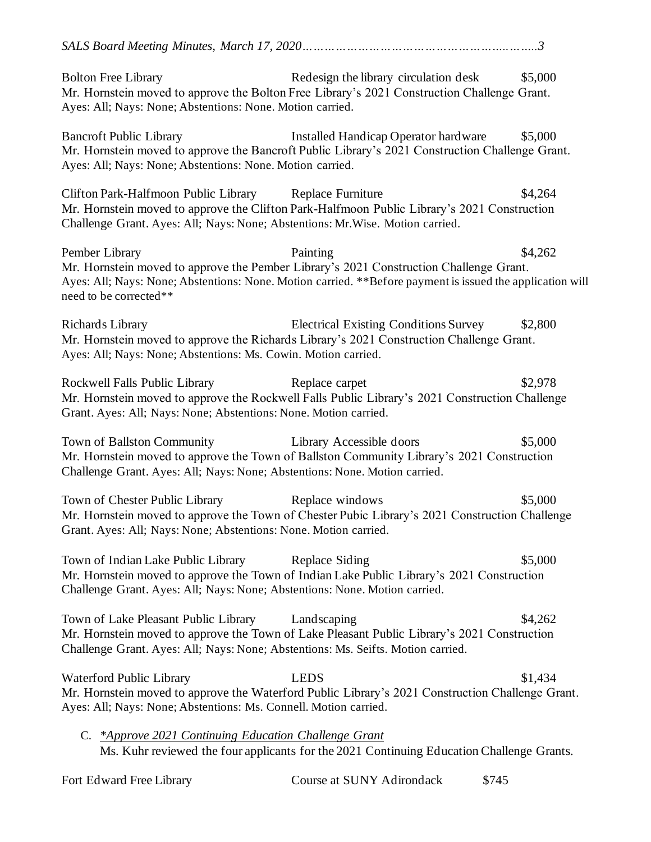| <b>Bolton Free Library</b><br>Ayes: All; Nays: None; Abstentions: None. Motion carried.                                                  | Redesign the library circulation desk<br>Mr. Hornstein moved to approve the Bolton Free Library's 2021 Construction Challenge Grant.                                                                            | \$5,000 |
|------------------------------------------------------------------------------------------------------------------------------------------|-----------------------------------------------------------------------------------------------------------------------------------------------------------------------------------------------------------------|---------|
| <b>Bancroft Public Library</b><br>Ayes: All; Nays: None; Abstentions: None. Motion carried.                                              | Installed Handicap Operator hardware<br>Mr. Hornstein moved to approve the Bancroft Public Library's 2021 Construction Challenge Grant.                                                                         | \$5,000 |
| Clifton Park-Halfmoon Public Library Replace Furniture<br>Challenge Grant. Ayes: All; Nays: None; Abstentions: Mr. Wise. Motion carried. | Mr. Hornstein moved to approve the Clifton Park-Halfmoon Public Library's 2021 Construction                                                                                                                     | \$4,264 |
| Pember Library<br>need to be corrected**                                                                                                 | Painting<br>Mr. Hornstein moved to approve the Pember Library's 2021 Construction Challenge Grant.<br>Ayes: All; Nays: None; Abstentions: None. Motion carried. **Before payment is issued the application will | \$4,262 |
| Richards Library<br>Ayes: All; Nays: None; Abstentions: Ms. Cowin. Motion carried.                                                       | <b>Electrical Existing Conditions Survey</b><br>Mr. Hornstein moved to approve the Richards Library's 2021 Construction Challenge Grant.                                                                        | \$2,800 |
| Rockwell Falls Public Library<br>Grant. Ayes: All; Nays: None; Abstentions: None. Motion carried.                                        | Replace carpet<br>Mr. Hornstein moved to approve the Rockwell Falls Public Library's 2021 Construction Challenge                                                                                                | \$2,978 |
| Town of Ballston Community<br>Challenge Grant. Ayes: All; Nays: None; Abstentions: None. Motion carried.                                 | Library Accessible doors<br>Mr. Hornstein moved to approve the Town of Ballston Community Library's 2021 Construction                                                                                           | \$5,000 |
| Town of Chester Public Library<br>Grant. Ayes: All; Nays: None; Abstentions: None. Motion carried.                                       | Replace windows<br>Mr. Hornstein moved to approve the Town of Chester Pubic Library's 2021 Construction Challenge                                                                                               | \$5,000 |
| Town of Indian Lake Public Library<br>Challenge Grant. Ayes: All; Nays: None; Abstentions: None. Motion carried.                         | Replace Siding<br>Mr. Hornstein moved to approve the Town of Indian Lake Public Library's 2021 Construction                                                                                                     | \$5,000 |
| Town of Lake Pleasant Public Library<br>Challenge Grant. Ayes: All; Nays: None; Abstentions: Ms. Seifts. Motion carried.                 | Landscaping<br>Mr. Hornstein moved to approve the Town of Lake Pleasant Public Library's 2021 Construction                                                                                                      | \$4,262 |
| Waterford Public Library<br>Ayes: All; Nays: None; Abstentions: Ms. Connell. Motion carried.                                             | <b>LEDS</b><br>Mr. Hornstein moved to approve the Waterford Public Library's 2021 Construction Challenge Grant.                                                                                                 | \$1,434 |
| C. *Approve 2021 Continuing Education Challenge Grant                                                                                    | Ms. Kuhr reviewed the four applicants for the 2021 Continuing Education Challenge Grants.                                                                                                                       |         |

| Fort Edward Free Library | Course at SUNY Adirondack | \$745 |
|--------------------------|---------------------------|-------|
|--------------------------|---------------------------|-------|